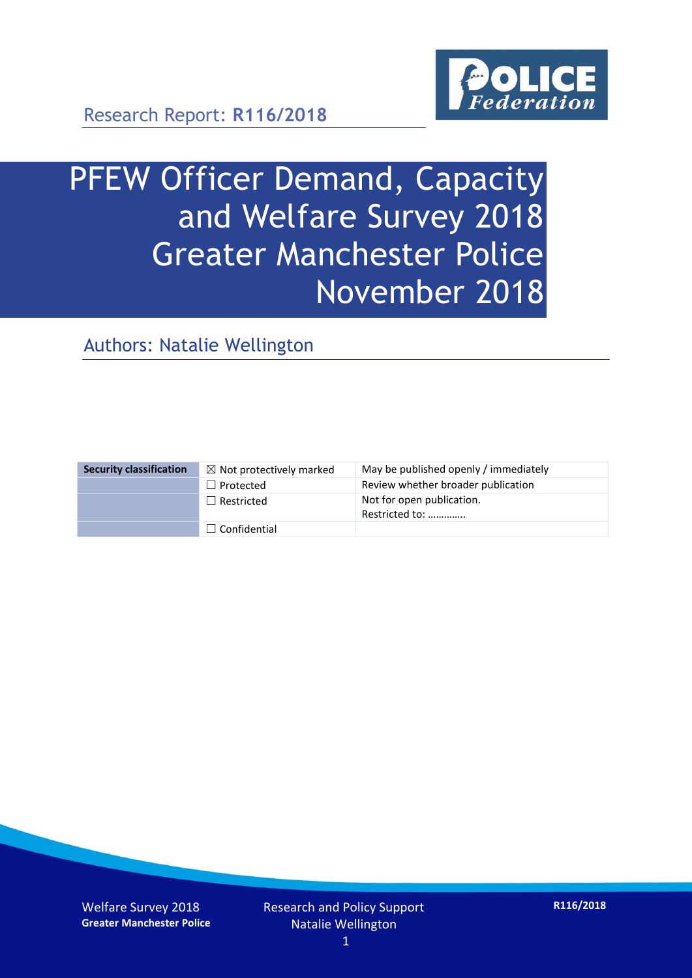

# PFEW Officer Demand, Capacity and Welfare Survey 2018 Greater Manchester Police November 2018

Authors: Natalie Wellington

| <b>Security classification</b> | $\boxtimes$ Not protectively marked | May be published openly / immediately       |
|--------------------------------|-------------------------------------|---------------------------------------------|
|                                | $\Box$ Protected                    | Review whether broader publication          |
|                                | $\Box$ Restricted                   | Not for open publication.<br>Restricted to: |
|                                | $\Box$ Confidential                 |                                             |

Welfare Survey 2018 **Greater Manchester Police**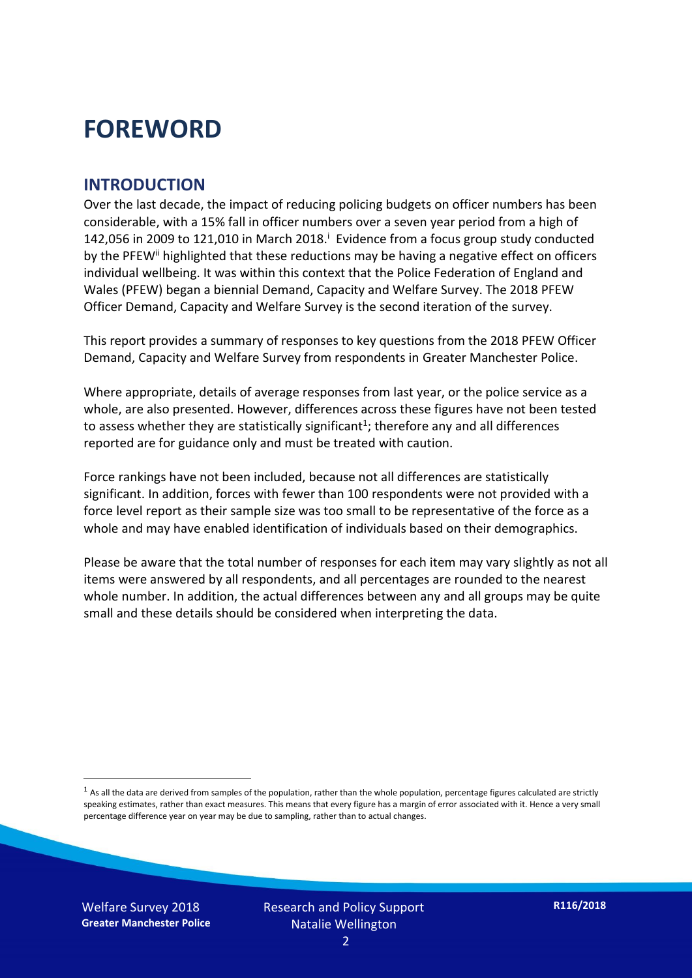### **FOREWORD**

#### **INTRODUCTION**

Over the last decade, the impact of reducing policing budgets on officer numbers has been considerable, with a 15% fall in officer numbers over a seven year period from a high of 142,056 in 2009 to 121,010 in March 2018. $^{\mathrm{i}}$  Evidence from a focus group study conducted by the PFEW<sup>ii</sup> highlighted that these reductions may be having a negative effect on officers individual wellbeing. It was within this context that the Police Federation of England and Wales (PFEW) began a biennial Demand, Capacity and Welfare Survey. The 2018 PFEW Officer Demand, Capacity and Welfare Survey is the second iteration of the survey.

This report provides a summary of responses to key questions from the 2018 PFEW Officer Demand, Capacity and Welfare Survey from respondents in Greater Manchester Police.

Where appropriate, details of average responses from last year, or the police service as a whole, are also presented. However, differences across these figures have not been tested to assess whether they are statistically significant<sup>1</sup>; therefore any and all differences reported are for guidance only and must be treated with caution.

Force rankings have not been included, because not all differences are statistically significant. In addition, forces with fewer than 100 respondents were not provided with a force level report as their sample size was too small to be representative of the force as a whole and may have enabled identification of individuals based on their demographics.

Please be aware that the total number of responses for each item may vary slightly as not all items were answered by all respondents, and all percentages are rounded to the nearest whole number. In addition, the actual differences between any and all groups may be quite small and these details should be considered when interpreting the data.

Welfare Survey 2018 **Greater Manchester Police**

-

 $<sup>1</sup>$  As all the data are derived from samples of the population, rather than the whole population, percentage figures calculated are strictly</sup> speaking estimates, rather than exact measures. This means that every figure has a margin of error associated with it. Hence a very small percentage difference year on year may be due to sampling, rather than to actual changes.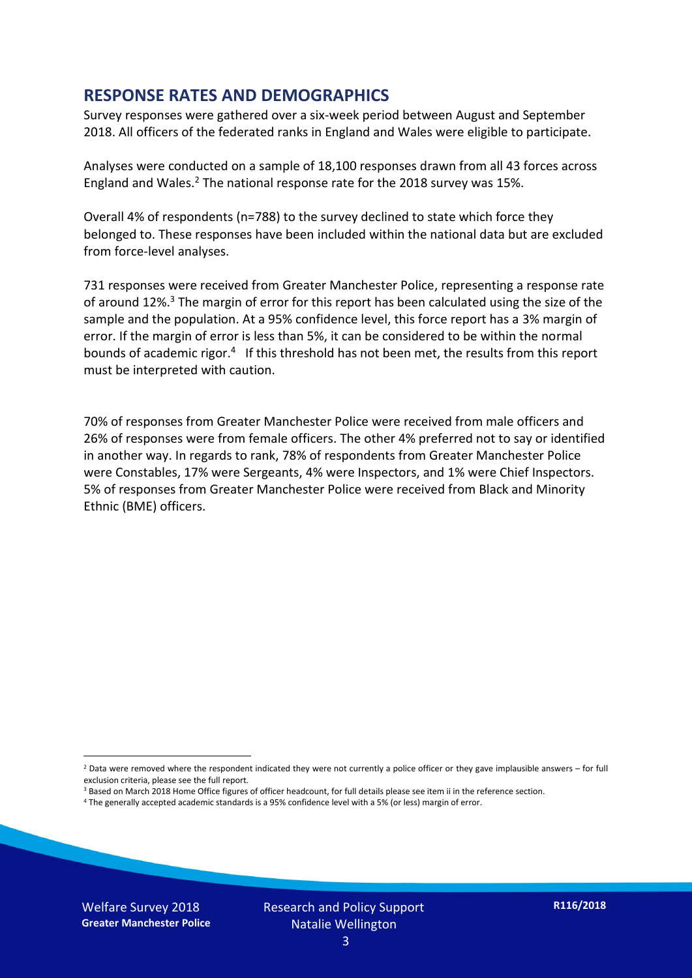#### **RESPONSE RATES AND DEMOGRAPHICS**

Survey responses were gathered over a six-week period between August and September 2018. All officers of the federated ranks in England and Wales were eligible to participate.

Analyses were conducted on a sample of 18,100 responses drawn from all 43 forces across England and Wales.<sup>2</sup> The national response rate for the 2018 survey was 15%.

Overall 4% of respondents (n=788) to the survey declined to state which force they belonged to. These responses have been included within the national data but are excluded from force-level analyses.

731 responses were received from Greater Manchester Police, representing a response rate of around 12%.<sup>3</sup> The margin of error for this report has been calculated using the size of the sample and the population. At a 95% confidence level, this force report has a 3% margin of error. If the margin of error is less than 5%, it can be considered to be within the normal bounds of academic rigor.<sup>4</sup> If this threshold has not been met, the results from this report must be interpreted with caution.

70% of responses from Greater Manchester Police were received from male officers and 26% of responses were from female officers. The other 4% preferred not to say or identified in another way. In regards to rank, 78% of respondents from Greater Manchester Police were Constables, 17% were Sergeants, 4% were Inspectors, and 1% were Chief Inspectors. 5% of responses from Greater Manchester Police were received from Black and Minority Ethnic (BME) officers.

- <sup>3</sup> Based on March 2018 Home Office figures of officer headcount, for full details please see item ii in the reference section.
- <sup>4</sup> The generally accepted academic standards is a 95% confidence level with a 5% (or less) margin of error.

Welfare Survey 2018 **Greater Manchester Police**

-

 $2$  Data were removed where the respondent indicated they were not currently a police officer or they gave implausible answers – for full exclusion criteria, please see the full report.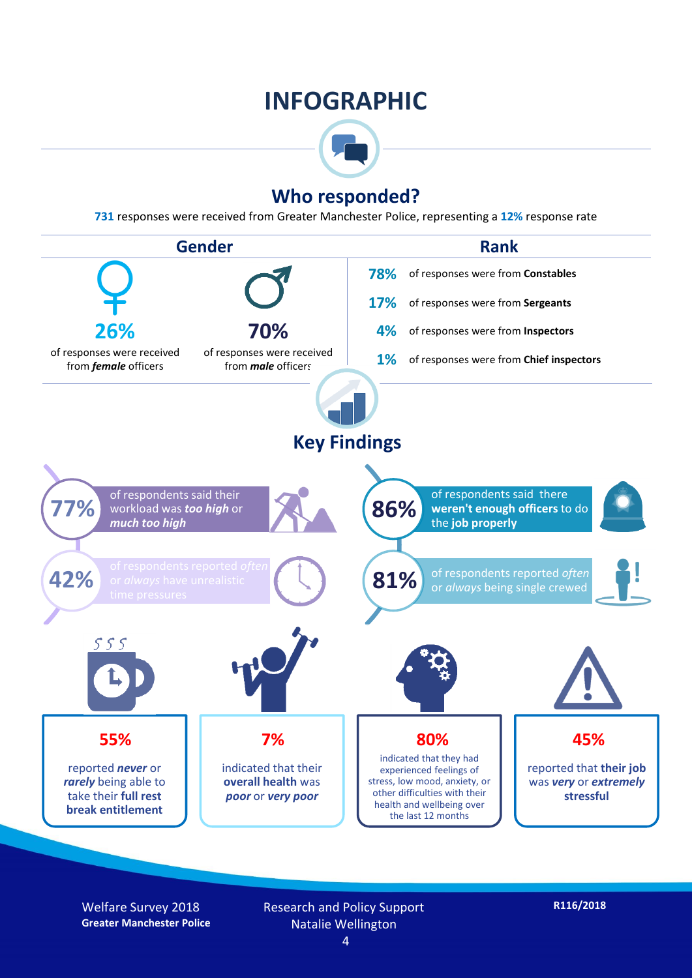### **INFOGRAPHIC**



#### **Who responded?**

**731** responses were received from Greater Manchester Police, representing a **12%** response rate



Welfare Survey 2018 **Greater Manchester Police** Research and Policy Support Natalie Wellington

4

**R116/2018**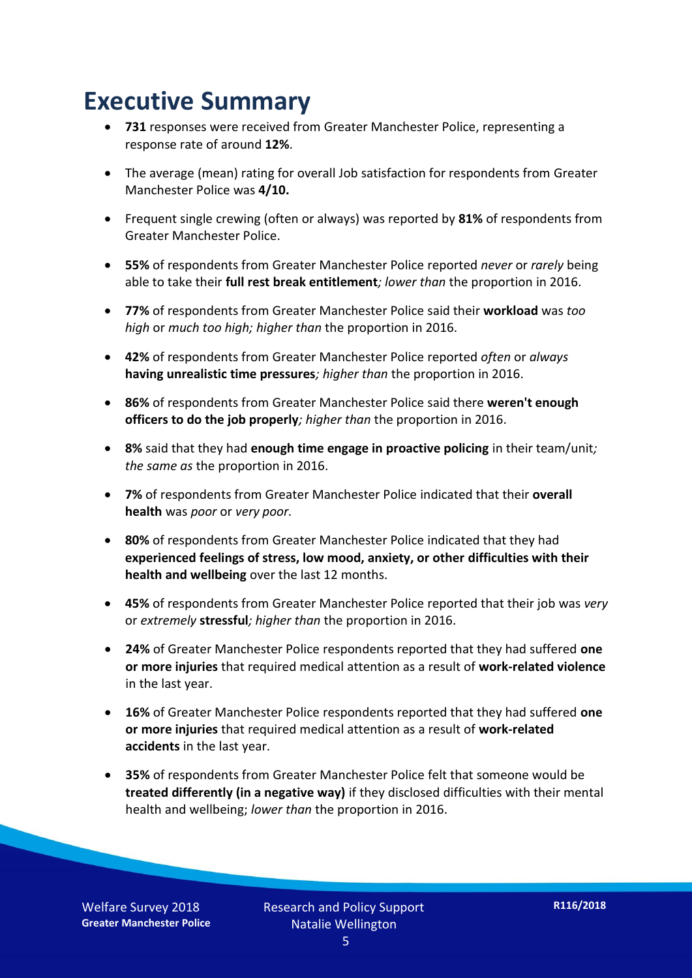### **Executive Summary**

- **731** responses were received from Greater Manchester Police, representing a response rate of around **12%**.
- The average (mean) rating for overall Job satisfaction for respondents from Greater Manchester Police was **4/10.**
- Frequent single crewing (often or always) was reported by **81%** of respondents from Greater Manchester Police.
- **55%** of respondents from Greater Manchester Police reported *never* or *rarely* being able to take their **full rest break entitlement***; lower than* the proportion in 2016.
- **77%** of respondents from Greater Manchester Police said their **workload** was *too high* or *much too high; higher than* the proportion in 2016.
- **42%** of respondents from Greater Manchester Police reported *often* or *always* **having unrealistic time pressures***; higher than* the proportion in 2016.
- **86%** of respondents from Greater Manchester Police said there **weren't enough officers to do the job properly***; higher than* the proportion in 2016.
- **8%** said that they had **enough time engage in proactive policing** in their team/unit*; the same as* the proportion in 2016.
- **7%** of respondents from Greater Manchester Police indicated that their **overall health** was *poor* or *very poor.*
- **80%** of respondents from Greater Manchester Police indicated that they had **experienced feelings of stress, low mood, anxiety, or other difficulties with their health and wellbeing** over the last 12 months.
- **45%** of respondents from Greater Manchester Police reported that their job was *very*  or *extremely* **stressful***; higher than* the proportion in 2016.
- **24%** of Greater Manchester Police respondents reported that they had suffered **one or more injuries** that required medical attention as a result of **work-related violence**  in the last year.
- **16%** of Greater Manchester Police respondents reported that they had suffered **one or more injuries** that required medical attention as a result of **work-related accidents** in the last year.
- **35%** of respondents from Greater Manchester Police felt that someone would be **treated differently (in a negative way)** if they disclosed difficulties with their mental health and wellbeing; *lower than* the proportion in 2016.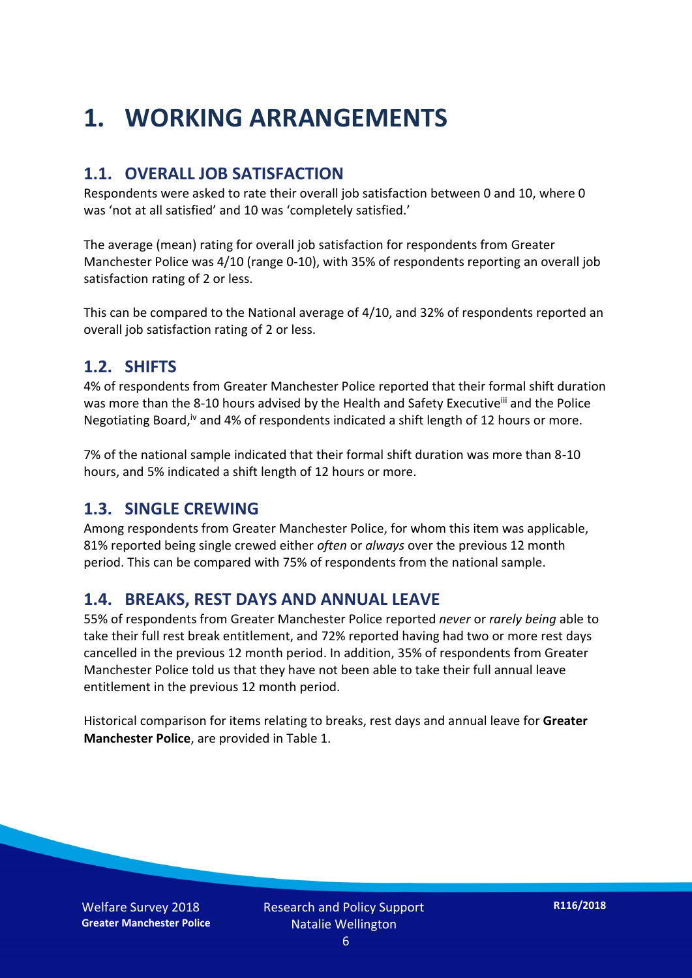### **1. WORKING ARRANGEMENTS**

#### **1.1. OVERALL JOB SATISFACTION**

Respondents were asked to rate their overall job satisfaction between 0 and 10, where 0 was 'not at all satisfied' and 10 was 'completely satisfied.'

The average (mean) rating for overall job satisfaction for respondents from Greater Manchester Police was 4/10 (range 0-10), with 35% of respondents reporting an overall job satisfaction rating of 2 or less.

This can be compared to the National average of 4/10, and 32% of respondents reported an overall job satisfaction rating of 2 or less.

#### **1.2. SHIFTS**

4% of respondents from Greater Manchester Police reported that their formal shift duration was more than the 8-10 hours advised by the Health and Safety Executive<sup>iii</sup> and the Police Negotiating Board,<sup>iv</sup> and 4% of respondents indicated a shift length of 12 hours or more.

7% of the national sample indicated that their formal shift duration was more than 8-10 hours, and 5% indicated a shift length of 12 hours or more.

#### **1.3. SINGLE CREWING**

Among respondents from Greater Manchester Police, for whom this item was applicable, 81% reported being single crewed either *often* or *always* over the previous 12 month period. This can be compared with 75% of respondents from the national sample.

#### **1.4. BREAKS, REST DAYS AND ANNUAL LEAVE**

55% of respondents from Greater Manchester Police reported *never* or *rarely being* able to take their full rest break entitlement, and 72% reported having had two or more rest days cancelled in the previous 12 month period. In addition, 35% of respondents from Greater Manchester Police told us that they have not been able to take their full annual leave entitlement in the previous 12 month period.

Historical comparison for items relating to breaks, rest days and annual leave for **Greater Manchester Police**, are provided in Table 1.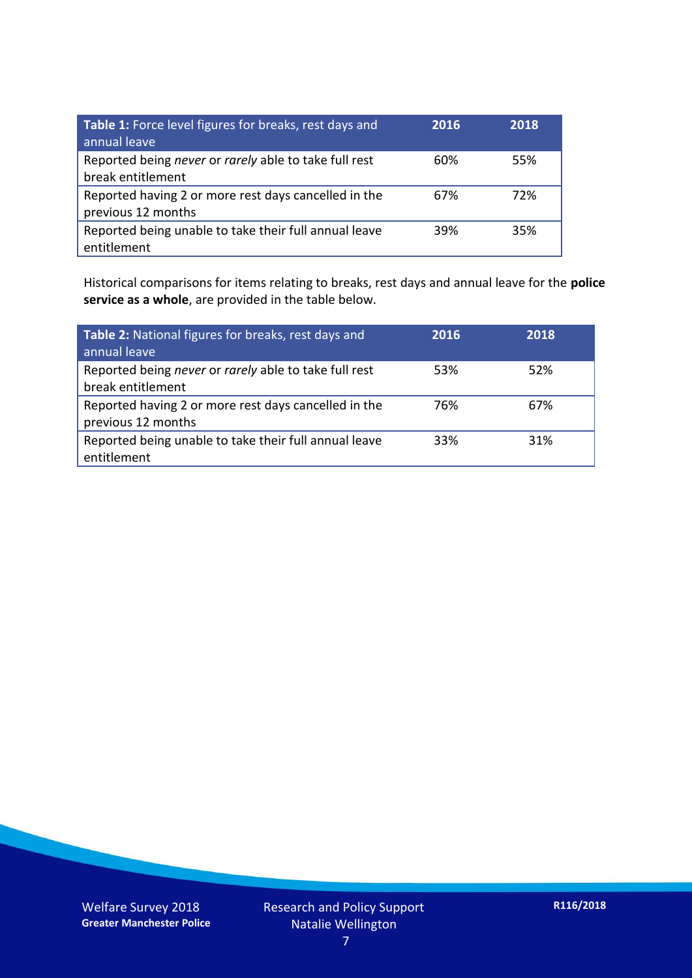| Table 1: Force level figures for breaks, rest days and<br>annual leave     | 2016 | 2018 |
|----------------------------------------------------------------------------|------|------|
| Reported being never or rarely able to take full rest<br>break entitlement | 60%  | 55%  |
| Reported having 2 or more rest days cancelled in the<br>previous 12 months | 67%  | 72%  |
| Reported being unable to take their full annual leave<br>entitlement       | 39%  | 35%  |

Historical comparisons for items relating to breaks, rest days and annual leave for the **police service as a whole**, are provided in the table below.

| Table 2: National figures for breaks, rest days and<br>annual leave        | 2016 | 2018 |
|----------------------------------------------------------------------------|------|------|
| Reported being never or rarely able to take full rest<br>break entitlement | 53%  | 52%  |
| Reported having 2 or more rest days cancelled in the<br>previous 12 months | 76%  | 67%  |
| Reported being unable to take their full annual leave<br>entitlement       | 33%  | 31%  |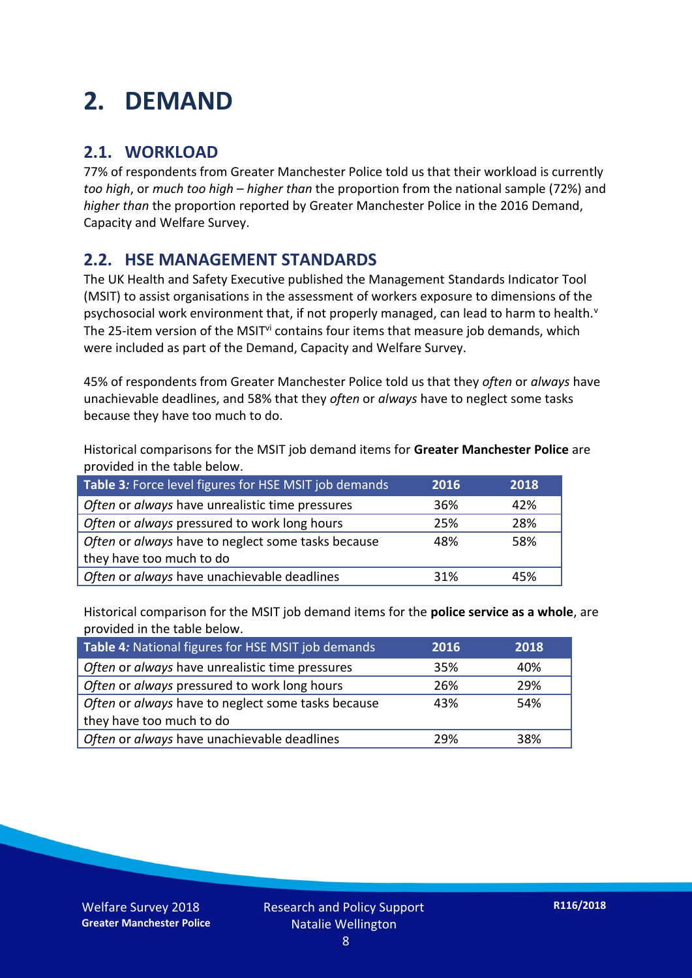### **2. DEMAND**

#### **2.1. WORKLOAD**

77% of respondents from Greater Manchester Police told us that their workload is currently *too high*, or *much too high* – *higher than* the proportion from the national sample (72%) and *higher than* the proportion reported by Greater Manchester Police in the 2016 Demand, Capacity and Welfare Survey.

#### **2.2. HSE MANAGEMENT STANDARDS**

The UK Health and Safety Executive published the Management Standards Indicator Tool (MSIT) to assist organisations in the assessment of workers exposure to dimensions of the psychosocial work environment that, if not properly managed, can lead to harm to health.<sup>v</sup> The 25-item version of the MSIT<sup>vi</sup> contains four items that measure job demands, which were included as part of the Demand, Capacity and Welfare Survey.

45% of respondents from Greater Manchester Police told us that they *often* or *always* have unachievable deadlines, and 58% that they *often* or *always* have to neglect some tasks because they have too much to do.

Historical comparisons for the MSIT job demand items for **Greater Manchester Police** are provided in the table below.

| Table 3: Force level figures for HSE MSIT job demands | 2016 | 2018 |
|-------------------------------------------------------|------|------|
| Often or always have unrealistic time pressures       | 36%  | 42%  |
| Often or always pressured to work long hours          | 25%  | 28%  |
| Often or always have to neglect some tasks because    | 48%  | 58%  |
| they have too much to do                              |      |      |
| Often or always have unachievable deadlines           | 31%  | 45%  |

Historical comparison for the MSIT job demand items for the **police service as a whole**, are provided in the table below.

| Table 4: National figures for HSE MSIT job demands | 2016 | 2018 |
|----------------------------------------------------|------|------|
| Often or always have unrealistic time pressures    | 35%  | 40%  |
| Often or always pressured to work long hours       | 26%  | 29%  |
| Often or always have to neglect some tasks because | 43%  | 54%  |
| they have too much to do                           |      |      |
| Often or always have unachievable deadlines        | 29%  | 38%  |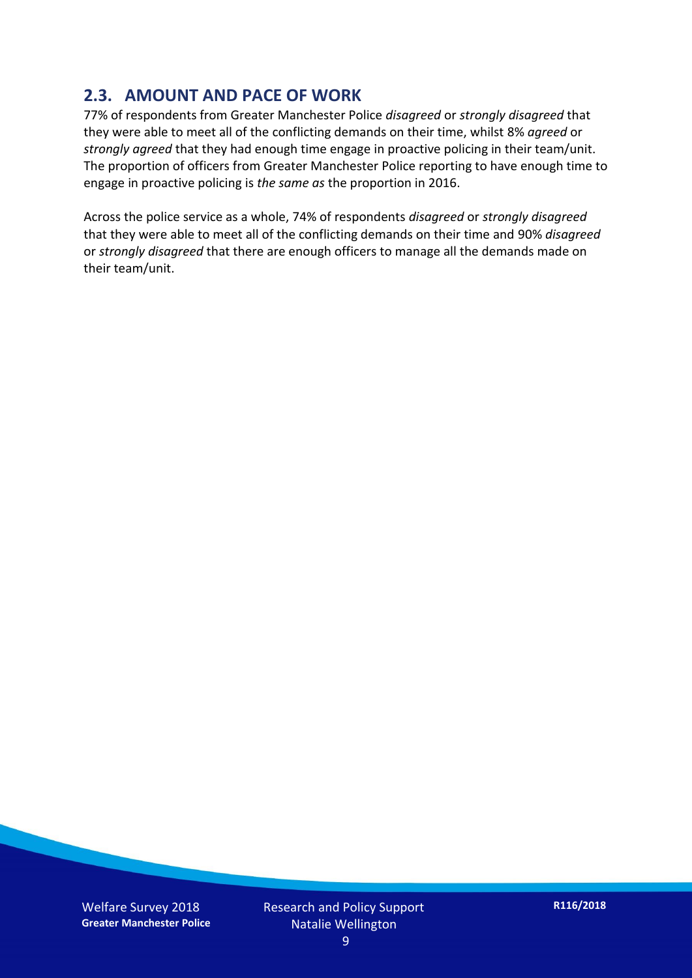#### **2.3. AMOUNT AND PACE OF WORK**

77% of respondents from Greater Manchester Police *disagreed* or *strongly disagreed* that they were able to meet all of the conflicting demands on their time, whilst 8% *agreed* or *strongly agreed* that they had enough time engage in proactive policing in their team/unit. The proportion of officers from Greater Manchester Police reporting to have enough time to engage in proactive policing is *the same as* the proportion in 2016.

Across the police service as a whole, 74% of respondents *disagreed* or *strongly disagreed* that they were able to meet all of the conflicting demands on their time and 90% *disagreed* or *strongly disagreed* that there are enough officers to manage all the demands made on their team/unit.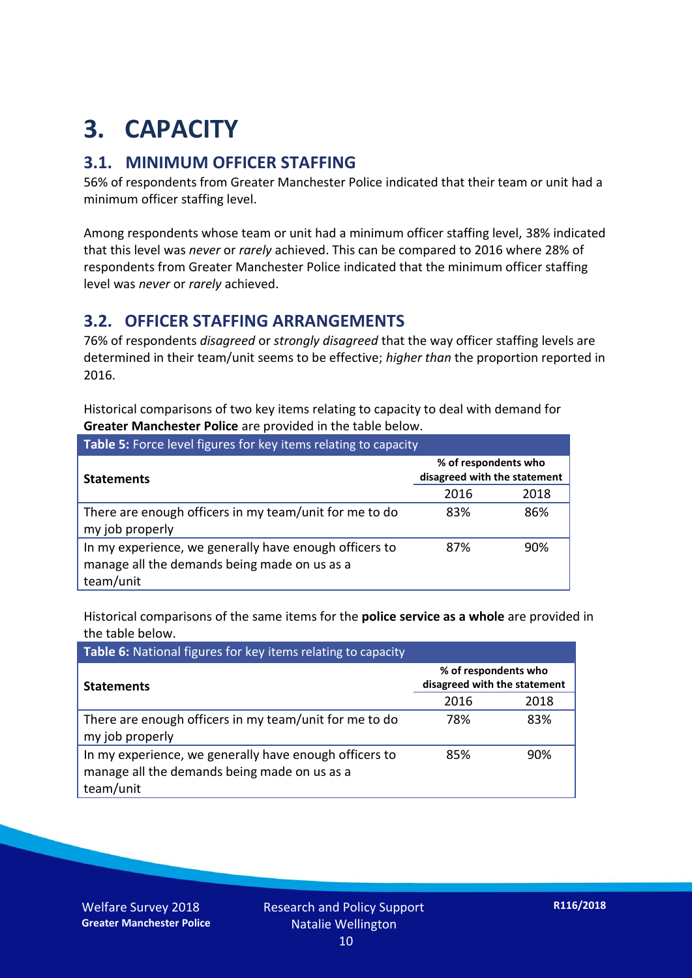## **3. CAPACITY**

#### **3.1. MINIMUM OFFICER STAFFING**

56% of respondents from Greater Manchester Police indicated that their team or unit had a minimum officer staffing level.

Among respondents whose team or unit had a minimum officer staffing level, 38% indicated that this level was *never* or *rarely* achieved. This can be compared to 2016 where 28% of respondents from Greater Manchester Police indicated that the minimum officer staffing level was *never* or *rarely* achieved.

#### **3.2. OFFICER STAFFING ARRANGEMENTS**

76% of respondents *disagreed* or *strongly disagreed* that the way officer staffing levels are determined in their team/unit seems to be effective; *higher than* the proportion reported in 2016.

Historical comparisons of two key items relating to capacity to deal with demand for **Greater Manchester Police** are provided in the table below.

| Table 5: Force level figures for key items relating to capacity                                                     |                                                      |      |  |
|---------------------------------------------------------------------------------------------------------------------|------------------------------------------------------|------|--|
| <b>Statements</b>                                                                                                   | % of respondents who<br>disagreed with the statement |      |  |
|                                                                                                                     | 2016                                                 | 2018 |  |
| There are enough officers in my team/unit for me to do<br>my job properly                                           | 83%                                                  | 86%  |  |
| In my experience, we generally have enough officers to<br>manage all the demands being made on us as a<br>team/unit | 87%                                                  | 90%  |  |

Historical comparisons of the same items for the **police service as a whole** are provided in the table below.

| Table 6: National figures for key items relating to capacity                                                        |                                                      |      |  |  |
|---------------------------------------------------------------------------------------------------------------------|------------------------------------------------------|------|--|--|
| <b>Statements</b>                                                                                                   | % of respondents who<br>disagreed with the statement |      |  |  |
|                                                                                                                     | 2016                                                 | 2018 |  |  |
| There are enough officers in my team/unit for me to do<br>my job properly                                           | 78%                                                  | 83%  |  |  |
| In my experience, we generally have enough officers to<br>manage all the demands being made on us as a<br>team/unit | 85%                                                  | 90%  |  |  |

Welfare Survey 2018 **Greater Manchester Police**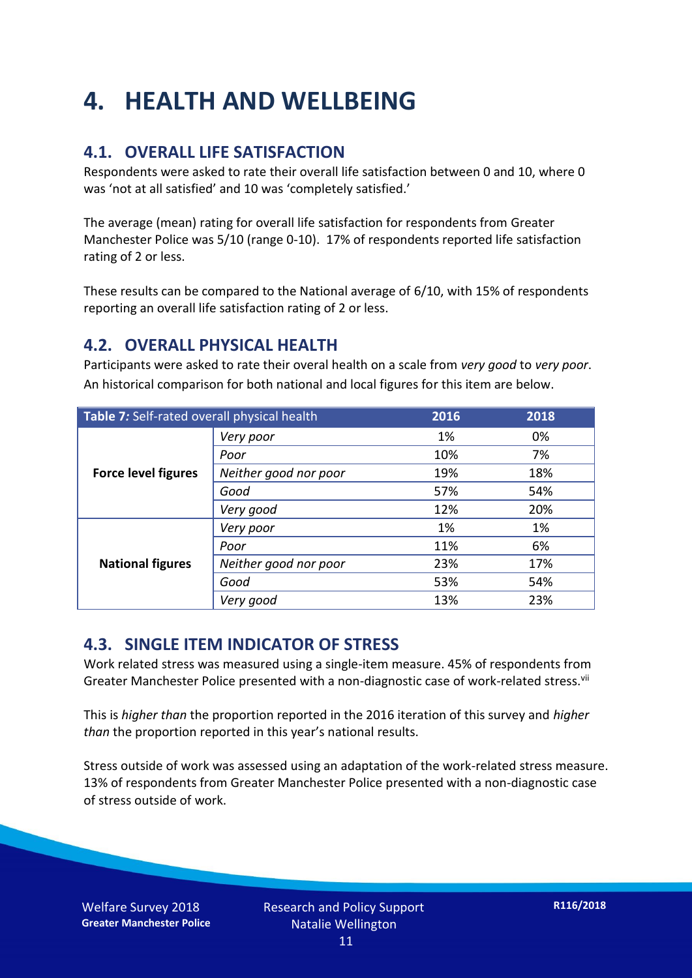### **4. HEALTH AND WELLBEING**

#### **4.1. OVERALL LIFE SATISFACTION**

Respondents were asked to rate their overall life satisfaction between 0 and 10, where 0 was 'not at all satisfied' and 10 was 'completely satisfied.'

The average (mean) rating for overall life satisfaction for respondents from Greater Manchester Police was 5/10 (range 0-10). 17% of respondents reported life satisfaction rating of 2 or less.

These results can be compared to the National average of 6/10, with 15% of respondents reporting an overall life satisfaction rating of 2 or less.

#### **4.2. OVERALL PHYSICAL HEALTH**

Participants were asked to rate their overal health on a scale from *very good* to *very poor*. An historical comparison for both national and local figures for this item are below.

| Table 7: Self-rated overall physical health |                       | 2016 | 2018 |
|---------------------------------------------|-----------------------|------|------|
|                                             | Very poor             | 1%   | 0%   |
|                                             | Poor                  | 10%  | 7%   |
| <b>Force level figures</b>                  | Neither good nor poor | 19%  | 18%  |
|                                             | Good                  | 57%  | 54%  |
|                                             | Very good             | 12%  | 20%  |
| <b>National figures</b>                     | Very poor             | 1%   | 1%   |
|                                             | Poor                  | 11%  | 6%   |
|                                             | Neither good nor poor | 23%  | 17%  |
|                                             | Good                  | 53%  | 54%  |
|                                             | Very good             | 13%  | 23%  |

#### **4.3. SINGLE ITEM INDICATOR OF STRESS**

Work related stress was measured using a single-item measure. 45% of respondents from Greater Manchester Police presented with a non-diagnostic case of work-related stress.<sup>vii</sup>

This is *higher than* the proportion reported in the 2016 iteration of this survey and *higher than* the proportion reported in this year's national results.

Stress outside of work was assessed using an adaptation of the work-related stress measure. 13% of respondents from Greater Manchester Police presented with a non-diagnostic case of stress outside of work.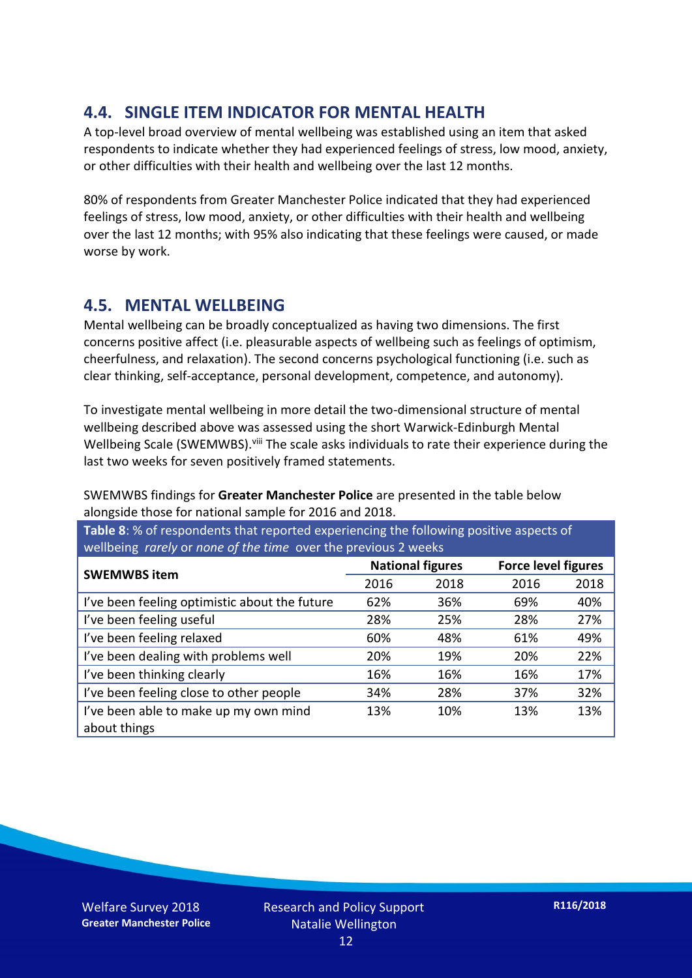#### **4.4. SINGLE ITEM INDICATOR FOR MENTAL HEALTH**

A top-level broad overview of mental wellbeing was established using an item that asked respondents to indicate whether they had experienced feelings of stress, low mood, anxiety, or other difficulties with their health and wellbeing over the last 12 months.

80% of respondents from Greater Manchester Police indicated that they had experienced feelings of stress, low mood, anxiety, or other difficulties with their health and wellbeing over the last 12 months; with 95% also indicating that these feelings were caused, or made worse by work.

#### **4.5. MENTAL WELLBEING**

Mental wellbeing can be broadly conceptualized as having two dimensions. The first concerns positive affect (i.e. pleasurable aspects of wellbeing such as feelings of optimism, cheerfulness, and relaxation). The second concerns psychological functioning (i.e. such as clear thinking, self-acceptance, personal development, competence, and autonomy).

To investigate mental wellbeing in more detail the two-dimensional structure of mental wellbeing described above was assessed using the short Warwick-Edinburgh Mental Wellbeing Scale (SWEMWBS). viii The scale asks individuals to rate their experience during the last two weeks for seven positively framed statements.

SWEMWBS findings for **Greater Manchester Police** are presented in the table below alongside those for national sample for 2016 and 2018.

**Table 8**: % of respondents that reported experiencing the following positive aspects of wellbeing *rarely* or *none of the time* over the previous 2 weeks

| <b>SWEMWBS item</b>                           | <b>National figures</b> |      | <b>Force level figures</b> |      |
|-----------------------------------------------|-------------------------|------|----------------------------|------|
|                                               | 2016                    | 2018 | 2016                       | 2018 |
| I've been feeling optimistic about the future | 62%                     | 36%  | 69%                        | 40%  |
| I've been feeling useful                      | 28%                     | 25%  | 28%                        | 27%  |
| I've been feeling relaxed                     | 60%                     | 48%  | 61%                        | 49%  |
| I've been dealing with problems well          | 20%                     | 19%  | 20%                        | 22%  |
| I've been thinking clearly                    | 16%                     | 16%  | 16%                        | 17%  |
| I've been feeling close to other people       | 34%                     | 28%  | 37%                        | 32%  |
| I've been able to make up my own mind         | 13%                     | 10%  | 13%                        | 13%  |
| about things                                  |                         |      |                            |      |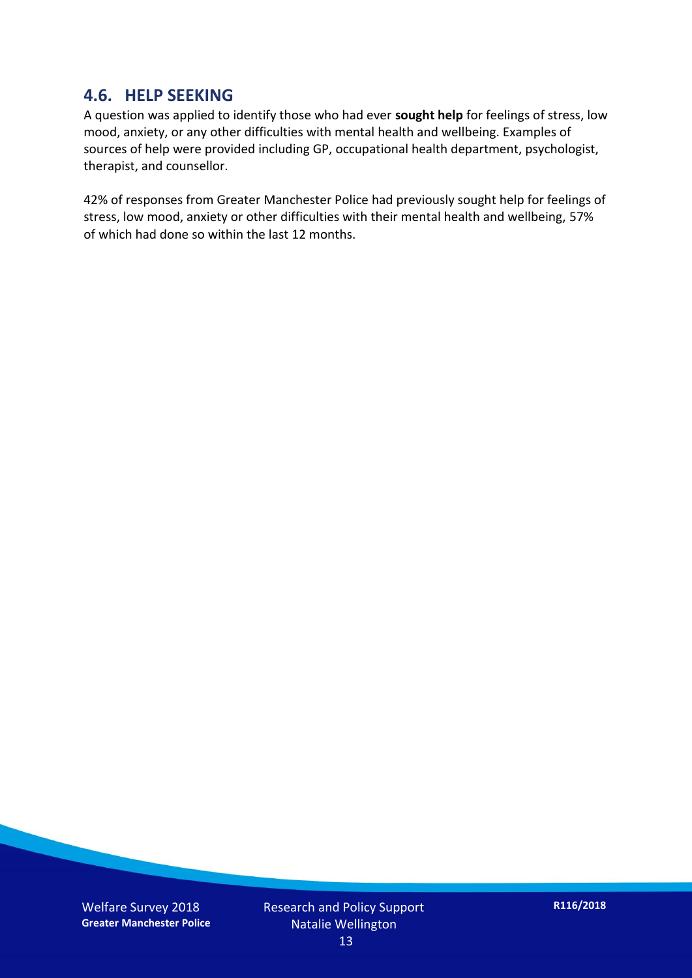#### **4.6. HELP SEEKING**

A question was applied to identify those who had ever **sought help** for feelings of stress, low mood, anxiety, or any other difficulties with mental health and wellbeing. Examples of sources of help were provided including GP, occupational health department, psychologist, therapist, and counsellor.

42% of responses from Greater Manchester Police had previously sought help for feelings of stress, low mood, anxiety or other difficulties with their mental health and wellbeing, 57% of which had done so within the last 12 months.

Welfare Survey 2018 **Greater Manchester Police** Research and Policy Support Natalie Wellington 13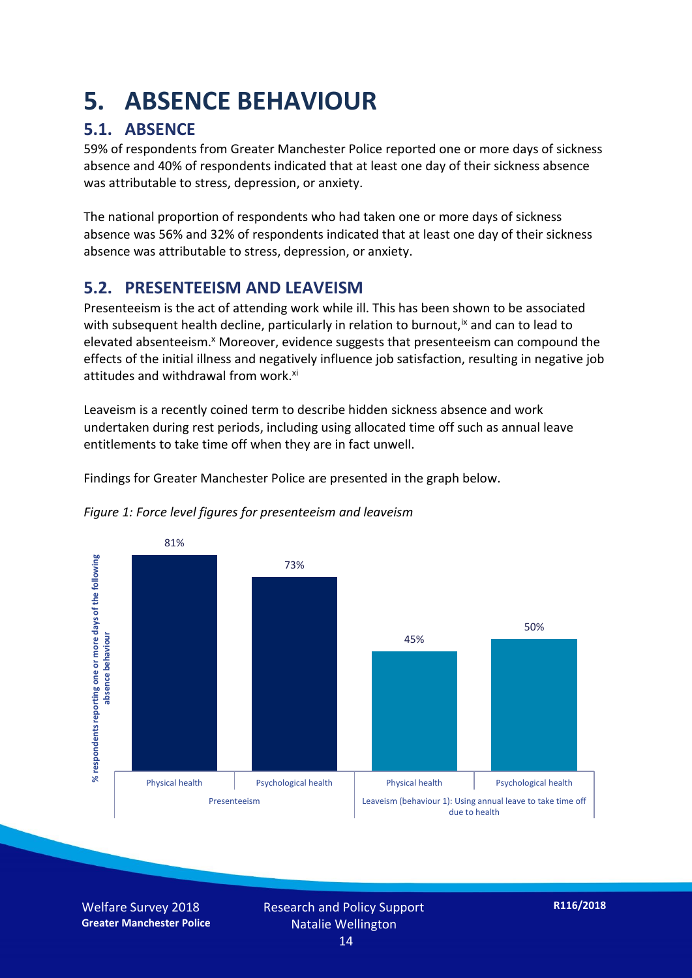### **5. ABSENCE BEHAVIOUR**

#### **5.1. ABSENCE**

59% of respondents from Greater Manchester Police reported one or more days of sickness absence and 40% of respondents indicated that at least one day of their sickness absence was attributable to stress, depression, or anxiety.

The national proportion of respondents who had taken one or more days of sickness absence was 56% and 32% of respondents indicated that at least one day of their sickness absence was attributable to stress, depression, or anxiety.

#### **5.2. PRESENTEEISM AND LEAVEISM**

Presenteeism is the act of attending work while ill. This has been shown to be associated with subsequent health decline, particularly in relation to burnout,  $\alpha$  and can to lead to elevated absenteeism.<sup>x</sup> Moreover, evidence suggests that presenteeism can compound the effects of the initial illness and negatively influence job satisfaction, resulting in negative job attitudes and withdrawal from work.<sup>xi</sup>

Leaveism is a recently coined term to describe hidden sickness absence and work undertaken during rest periods, including using allocated time off such as annual leave entitlements to take time off when they are in fact unwell.

Findings for Greater Manchester Police are presented in the graph below.



#### *Figure 1: Force level figures for presenteeism and leaveism*

Welfare Survey 2018 **Greater Manchester Police**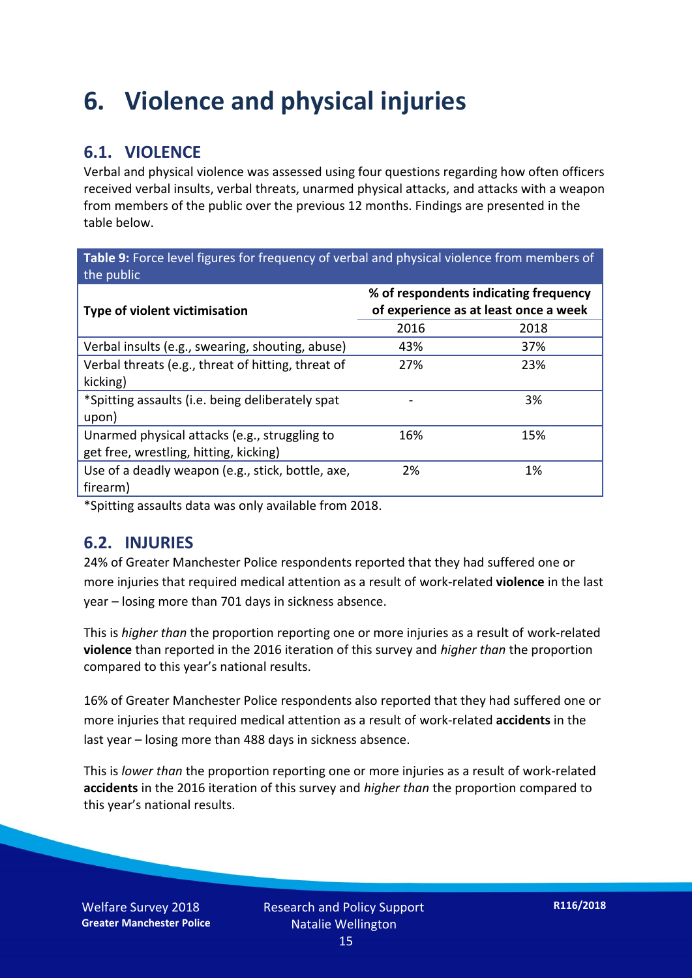### **6. Violence and physical injuries**

#### **6.1. VIOLENCE**

Verbal and physical violence was assessed using four questions regarding how often officers received verbal insults, verbal threats, unarmed physical attacks, and attacks with a weapon from members of the public over the previous 12 months. Findings are presented in the table below.

**Table 9:** Force level figures for frequency of verbal and physical violence from members of the public

| <b>Type of violent victimisation</b>               | % of respondents indicating frequency<br>of experience as at least once a week |      |  |
|----------------------------------------------------|--------------------------------------------------------------------------------|------|--|
|                                                    | 2016                                                                           | 2018 |  |
| Verbal insults (e.g., swearing, shouting, abuse)   | 43%                                                                            | 37%  |  |
| Verbal threats (e.g., threat of hitting, threat of | 27%                                                                            | 23%  |  |
| kicking)                                           |                                                                                |      |  |
| *Spitting assaults (i.e. being deliberately spat   |                                                                                | 3%   |  |
| upon)                                              |                                                                                |      |  |
| Unarmed physical attacks (e.g., struggling to      | 16%                                                                            | 15%  |  |
| get free, wrestling, hitting, kicking)             |                                                                                |      |  |
| Use of a deadly weapon (e.g., stick, bottle, axe,  | 2%                                                                             | 1%   |  |
| firearm)                                           |                                                                                |      |  |

\*Spitting assaults data was only available from 2018.

#### **6.2. INJURIES**

24% of Greater Manchester Police respondents reported that they had suffered one or more injuries that required medical attention as a result of work-related **violence** in the last year – losing more than 701 days in sickness absence.

This is *higher than* the proportion reporting one or more injuries as a result of work-related **violence** than reported in the 2016 iteration of this survey and *higher than* the proportion compared to this year's national results.

16% of Greater Manchester Police respondents also reported that they had suffered one or more injuries that required medical attention as a result of work-related **accidents** in the last year – losing more than 488 days in sickness absence.

This is *lower than* the proportion reporting one or more injuries as a result of work-related **accidents** in the 2016 iteration of this survey and *higher than* the proportion compared to this year's national results.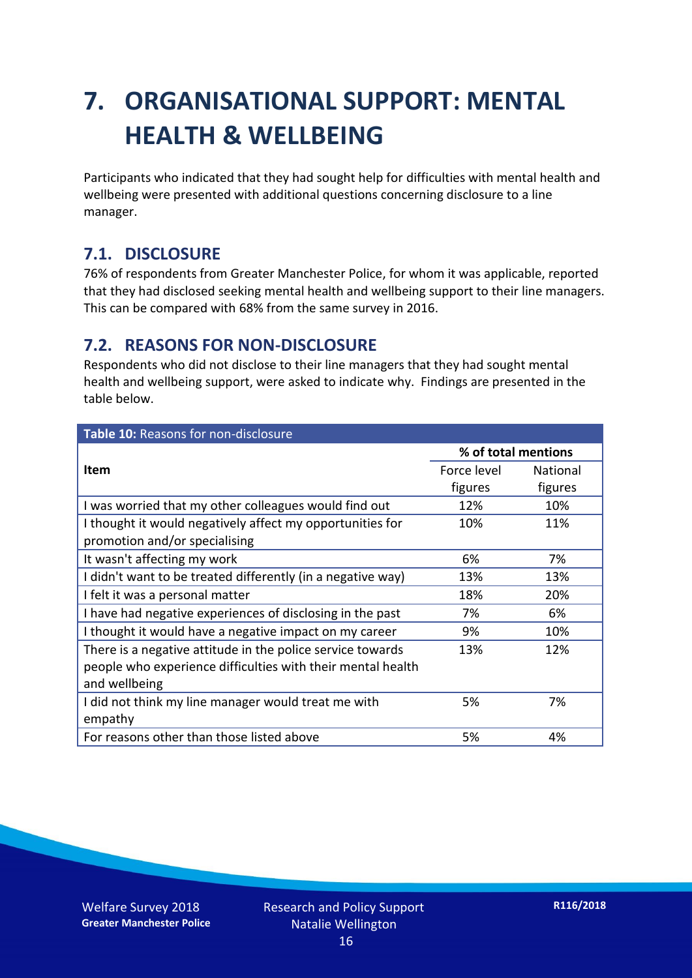### **7. ORGANISATIONAL SUPPORT: MENTAL HEALTH & WELLBEING**

Participants who indicated that they had sought help for difficulties with mental health and wellbeing were presented with additional questions concerning disclosure to a line manager.

#### **7.1. DISCLOSURE**

76% of respondents from Greater Manchester Police, for whom it was applicable, reported that they had disclosed seeking mental health and wellbeing support to their line managers. This can be compared with 68% from the same survey in 2016.

#### **7.2. REASONS FOR NON-DISCLOSURE**

Respondents who did not disclose to their line managers that they had sought mental health and wellbeing support, were asked to indicate why. Findings are presented in the table below.

| Table 10: Reasons for non-disclosure                        |                     |                 |
|-------------------------------------------------------------|---------------------|-----------------|
|                                                             | % of total mentions |                 |
| Item                                                        | Force level         | <b>National</b> |
|                                                             | figures             | figures         |
| I was worried that my other colleagues would find out       | 12%                 | 10%             |
| I thought it would negatively affect my opportunities for   | 10%                 | 11%             |
| promotion and/or specialising                               |                     |                 |
| It wasn't affecting my work                                 | 6%                  | 7%              |
| I didn't want to be treated differently (in a negative way) | 13%                 | 13%             |
| I felt it was a personal matter                             | 18%                 | 20%             |
| I have had negative experiences of disclosing in the past   | 7%                  | 6%              |
| I thought it would have a negative impact on my career      | 9%                  | 10%             |
| There is a negative attitude in the police service towards  | 13%                 | 12%             |
| people who experience difficulties with their mental health |                     |                 |
| and wellbeing                                               |                     |                 |
| I did not think my line manager would treat me with         | 5%                  | 7%              |
| empathy                                                     |                     |                 |
| For reasons other than those listed above                   | 5%                  | 4%              |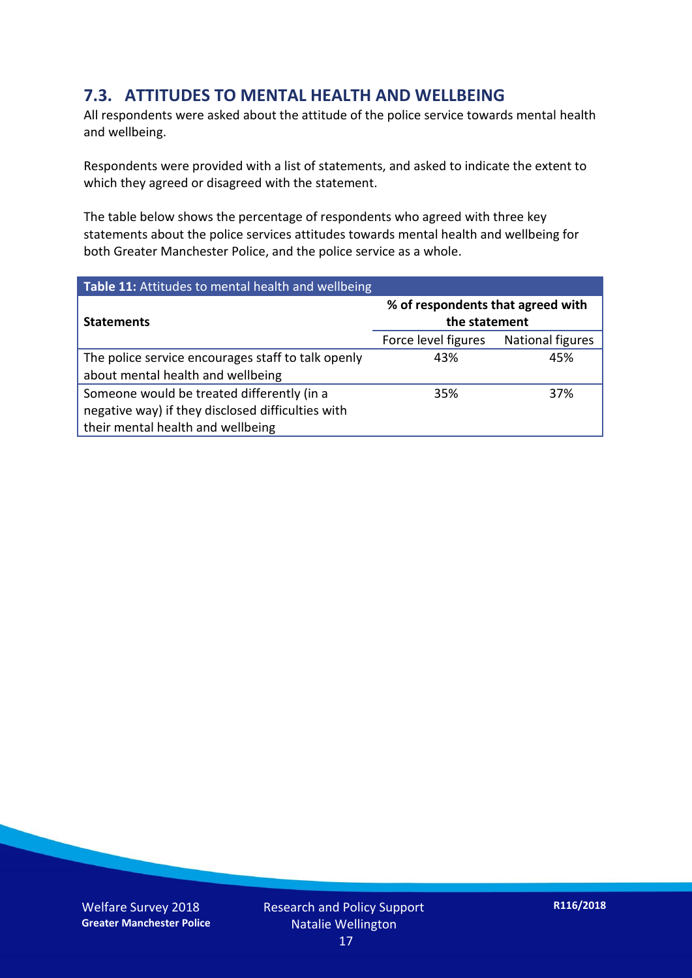#### **7.3. ATTITUDES TO MENTAL HEALTH AND WELLBEING**

All respondents were asked about the attitude of the police service towards mental health and wellbeing.

Respondents were provided with a list of statements, and asked to indicate the extent to which they agreed or disagreed with the statement.

The table below shows the percentage of respondents who agreed with three key statements about the police services attitudes towards mental health and wellbeing for both Greater Manchester Police, and the police service as a whole.

| Table 11: Attitudes to mental health and wellbeing |                                                    |                         |
|----------------------------------------------------|----------------------------------------------------|-------------------------|
| <b>Statements</b>                                  | % of respondents that agreed with<br>the statement |                         |
|                                                    | Force level figures                                | <b>National figures</b> |
| The police service encourages staff to talk openly | 43%                                                | 45%                     |
| about mental health and wellbeing                  |                                                    |                         |
| Someone would be treated differently (in a         | 35%                                                | 37%                     |
| negative way) if they disclosed difficulties with  |                                                    |                         |
| their mental health and wellbeing                  |                                                    |                         |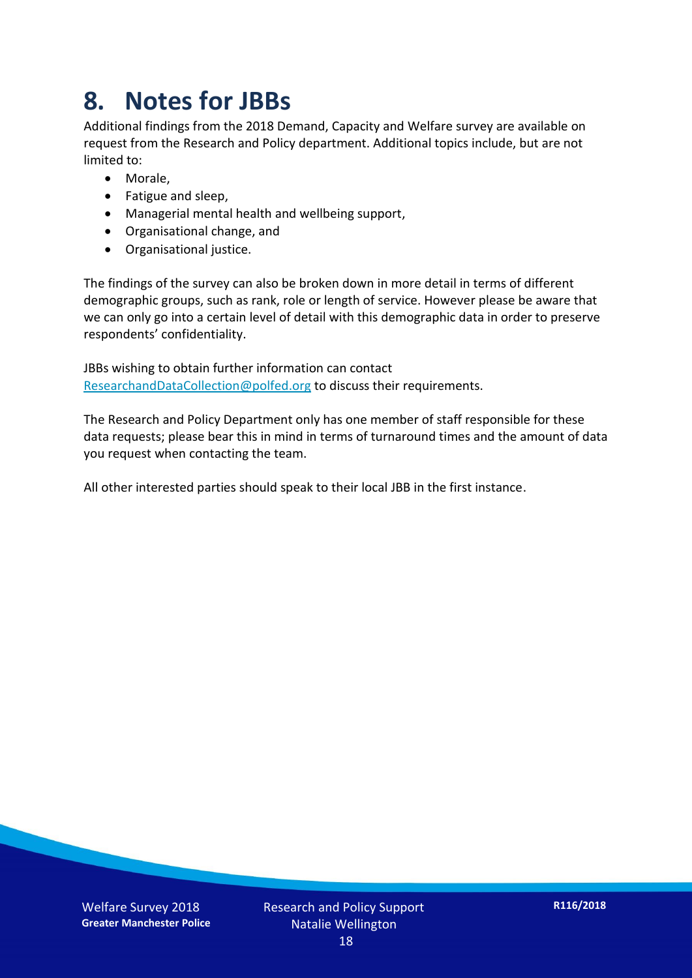### **8. Notes for JBBs**

Additional findings from the 2018 Demand, Capacity and Welfare survey are available on request from the Research and Policy department. Additional topics include, but are not limited to:

- Morale,
- Fatigue and sleep,
- Managerial mental health and wellbeing support,
- Organisational change, and
- Organisational justice.

The findings of the survey can also be broken down in more detail in terms of different demographic groups, such as rank, role or length of service. However please be aware that we can only go into a certain level of detail with this demographic data in order to preserve respondents' confidentiality.

JBBs wishing to obtain further information can contact [ResearchandDataCollection@polfed.org](mailto:ResearchandDataCollection@polfed.org) to discuss their requirements.

The Research and Policy Department only has one member of staff responsible for these data requests; please bear this in mind in terms of turnaround times and the amount of data you request when contacting the team.

All other interested parties should speak to their local JBB in the first instance.